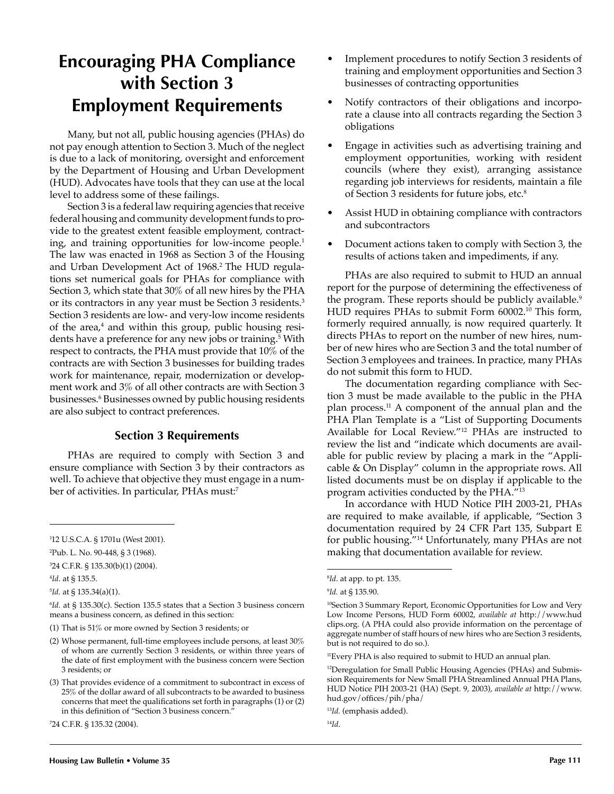## **Encouraging PHA Compliance with Section 3 Employment Requirements**

Many, but not all, public housing agencies (PHAs) do not pay enough attention to Section 3. Much of the neglect is due to a lack of monitoring, oversight and enforcement by the Department of Housing and Urban Development (HUD). Advocates have tools that they can use at the local level to address some of these failings.

Section 3 is a federal law requiring agencies that receive federal housing and community development funds to provide to the greatest extent feasible employment, contracting, and training opportunities for low-income people.<sup>1</sup> The law was enacted in 1968 as Section 3 of the Housing and Urban Development Act of 1968.2 The HUD regulations set numerical goals for PHAs for compliance with Section 3, which state that 30% of all new hires by the PHA or its contractors in any year must be Section 3 residents.3 Section 3 residents are low- and very-low income residents of the area,<sup>4</sup> and within this group, public housing residents have a preference for any new jobs or training.5 With respect to contracts, the PHA must provide that 10% of the contracts are with Section 3 businesses for building trades work for maintenance, repair, modernization or development work and 3% of all other contracts are with Section 3 businesses.6 Businesses owned by public housing residents are also subject to contract preferences.

## **Section 3 Requirements**

PHAs are required to comply with Section 3 and ensure compliance with Section 3 by their contractors as well. To achieve that objective they must engage in a number of activities. In particular, PHAs must:7

- Implement procedures to notify Section 3 residents of training and employment opportunities and Section 3 businesses of contracting opportunities
- Notify contractors of their obligations and incorporate a clause into all contracts regarding the Section 3 obligations
- Engage in activities such as advertising training and employment opportunities, working with resident councils (where they exist), arranging assistance regarding job interviews for residents, maintain a file of Section 3 residents for future jobs, etc.8
- Assist HUD in obtaining compliance with contractors and subcontractors
- Document actions taken to comply with Section 3, the results of actions taken and impediments, if any.

PHAs are also required to submit to HUD an annual report for the purpose of determining the effectiveness of the program. These reports should be publicly available.<sup>9</sup> HUD requires PHAs to submit Form 60002.10 This form, formerly required annually, is now required quarterly. It directs PHAs to report on the number of new hires, number of new hires who are Section 3 and the total number of Section 3 employees and trainees. In practice, many PHAs do not submit this form to HUD.

The documentation regarding compliance with Section 3 must be made available to the public in the PHA plan process.11 A component of the annual plan and the PHA Plan Template is a "List of Supporting Documents Available for Local Review."12 PHAs are instructed to review the list and "indicate which documents are available for public review by placing a mark in the "Applicable & On Display" column in the appropriate rows. All listed documents must be on display if applicable to the program activities conducted by the PHA."13

In accordance with HUD Notice PIH 2003-21, PHAs are required to make available, if applicable, "Section 3 documentation required by 24 CFR Part 135, Subpart E for public housing."14 Unfortunately, many PHAs are not making that documentation available for review.

<sup>1</sup> 12 U.S.C.A. § 1701u (West 2001).

<sup>2</sup> Pub. L. No. 90-448, § 3 (1968).

<sup>3</sup> 24 C.F.R. § 135.30(b)(1) (2004).

<sup>4</sup> *Id.* at § 135.5.

<sup>5</sup> *Id.* at § 135.34(a)(1).

<sup>6</sup> *Id.* at § 135.30(c). Section 135.5 states that a Section 3 business concern means a business concern, as defined in this section:

<sup>(1)</sup> That is 51% or more owned by Section 3 residents; or

<sup>(2)</sup> Whose permanent, full-time employees include persons, at least 30% of whom are currently Section 3 residents, or within three years of the date of first employment with the business concern were Section 3 residents; or

<sup>(3)</sup> That provides evidence of a commitment to subcontract in excess of 25% of the dollar award of all subcontracts to be awarded to business concerns that meet the qualifications set forth in paragraphs (1) or (2) in this definition of "Section 3 business concern."

<sup>7</sup> 24 C.F.R. § 135.32 (2004).

<sup>8</sup> *Id*. at app. to pt. 135.

<sup>9</sup> *Id.* at § 135.90.

<sup>&</sup>lt;sup>10</sup>Section 3 Summary Report, Economic Opportunities for Low and Very Low Income Persons, HUD Form 60002, *available at* http://www.hud clips.org. (A PHA could also provide information on the percentage of aggregate number of staff hours of new hires who are Section 3 residents, but is not required to do so.).

<sup>&</sup>lt;sup>11</sup>Every PHA is also required to submit to HUD an annual plan.

<sup>&</sup>lt;sup>12</sup>Deregulation for Small Public Housing Agencies (PHAs) and Submission Requirements for New Small PHA Streamlined Annual PHA Plans, HUD Notice PIH 2003-21 (HA) (Sept. 9, 2003), *available at* http://www. hud.gov/offices/pih/pha/

<sup>13</sup>*Id.* (emphasis added).

<sup>14</sup>*Id*.